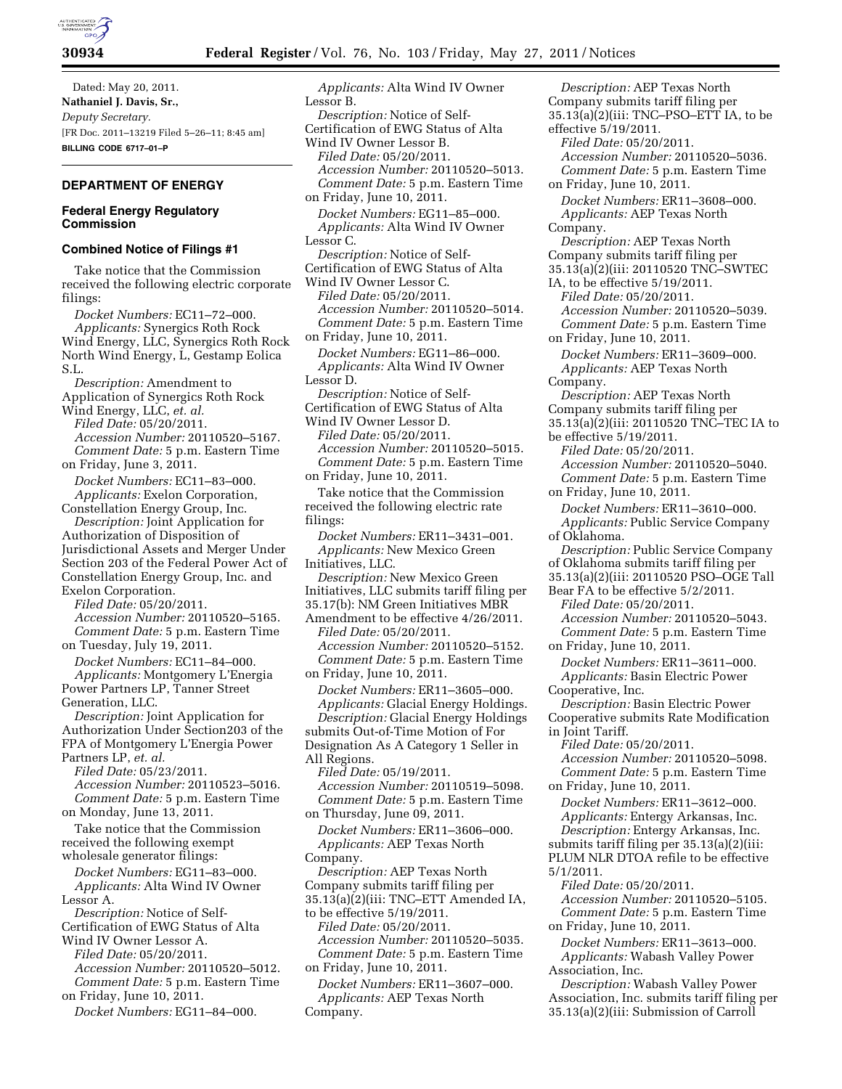

Dated: May 20, 2011. **Nathaniel J. Davis, Sr.,**  *Deputy Secretary.*  [FR Doc. 2011–13219 Filed 5–26–11; 8:45 am] **BILLING CODE 6717–01–P** 

# **DEPARTMENT OF ENERGY**

# **Federal Energy Regulatory Commission**

### **Combined Notice of Filings #1**

Take notice that the Commission received the following electric corporate filings:

*Docket Numbers:* EC11–72–000. *Applicants:* Synergics Roth Rock Wind Energy, LLC, Synergics Roth Rock North Wind Energy, L, Gestamp Eolica S.L.

*Description:* Amendment to Application of Synergics Roth Rock Wind Energy, LLC, *et. al.* 

*Filed Date:* 05/20/2011. *Accession Number:* 20110520–5167. *Comment Date:* 5 p.m. Eastern Time on Friday, June 3, 2011.

*Docket Numbers:* EC11–83–000. *Applicants:* Exelon Corporation,

Constellation Energy Group, Inc. *Description:* Joint Application for Authorization of Disposition of

Jurisdictional Assets and Merger Under Section 203 of the Federal Power Act of Constellation Energy Group, Inc. and Exelon Corporation.

*Filed Date:* 05/20/2011. *Accession Number:* 20110520–5165. *Comment Date:* 5 p.m. Eastern Time on Tuesday, July 19, 2011.

*Docket Numbers:* EC11–84–000. *Applicants:* Montgomery L'Energia Power Partners LP, Tanner Street Generation, LLC.

*Description:* Joint Application for Authorization Under Section203 of the FPA of Montgomery L'Energia Power Partners LP, *et. al.* 

*Filed Date:* 05/23/2011. *Accession Number:* 20110523–5016. *Comment Date:* 5 p.m. Eastern Time on Monday, June 13, 2011.

Take notice that the Commission received the following exempt wholesale generator filings:

*Docket Numbers:* EG11–83–000. *Applicants:* Alta Wind IV Owner Lessor A.

*Description:* Notice of Self-Certification of EWG Status of Alta Wind IV Owner Lessor A.

*Filed Date:* 05/20/2011.

*Accession Number:* 20110520–5012. *Comment Date:* 5 p.m. Eastern Time

on Friday, June 10, 2011. *Docket Numbers:* EG11–84–000.

*Applicants:* Alta Wind IV Owner Lessor B. *Description:* Notice of Self-Certification of EWG Status of Alta Wind IV Owner Lessor B. *Filed Date:* 05/20/2011. *Accession Number:* 20110520–5013. *Comment Date:* 5 p.m. Eastern Time on Friday, June 10, 2011. *Docket Numbers:* EG11–85–000. *Applicants:* Alta Wind IV Owner Lessor C. *Description:* Notice of Self-Certification of EWG Status of Alta Wind IV Owner Lessor C. *Filed Date:* 05/20/2011. *Accession Number:* 20110520–5014. *Comment Date:* 5 p.m. Eastern Time on Friday, June 10, 2011. *Docket Numbers:* EG11–86–000. *Applicants:* Alta Wind IV Owner Lessor D. *Description:* Notice of Self-Certification of EWG Status of Alta Wind IV Owner Lessor D. *Filed Date:* 05/20/2011. *Accession Number:* 20110520–5015. *Comment Date:* 5 p.m. Eastern Time on Friday, June 10, 2011. Take notice that the Commission received the following electric rate filings: *Docket Numbers:* ER11–3431–001. *Applicants:* New Mexico Green Initiatives, LLC. *Description:* New Mexico Green Initiatives, LLC submits tariff filing per 35.17(b): NM Green Initiatives MBR Amendment to be effective 4/26/2011. *Filed Date:* 05/20/2011. *Accession Number:* 20110520–5152. *Comment Date:* 5 p.m. Eastern Time on Friday, June 10, 2011. *Docket Numbers:* ER11–3605–000. *Applicants:* Glacial Energy Holdings. *Description:* Glacial Energy Holdings submits Out-of-Time Motion of For Designation As A Category 1 Seller in All Regions. *Filed Date:* 05/19/2011. *Accession Number:* 20110519–5098. *Comment Date:* 5 p.m. Eastern Time on Thursday, June 09, 2011. *Docket Numbers:* ER11–3606–000. *Applicants:* AEP Texas North Company. *Description:* AEP Texas North Company submits tariff filing per 35.13(a)(2)(iii: TNC–ETT Amended IA, to be effective 5/19/2011. *Filed Date:* 05/20/2011. *Accession Number:* 20110520–5035. *Comment Date:* 5 p.m. Eastern Time on Friday, June 10, 2011. *Docket Numbers:* ER11–3607–000. *Applicants:* AEP Texas North Company.

*Description:* AEP Texas North Company submits tariff filing per 35.13(a)(2)(iii: TNC–PSO–ETT IA, to be effective 5/19/2011. *Filed Date:* 05/20/2011. *Accession Number:* 20110520–5036. *Comment Date:* 5 p.m. Eastern Time on Friday, June 10, 2011. *Docket Numbers:* ER11–3608–000. *Applicants:* AEP Texas North Company. *Description:* AEP Texas North Company submits tariff filing per 35.13(a)(2)(iii: 20110520 TNC–SWTEC IA, to be effective 5/19/2011. *Filed Date:* 05/20/2011. *Accession Number:* 20110520–5039. *Comment Date:* 5 p.m. Eastern Time on Friday, June 10, 2011. *Docket Numbers:* ER11–3609–000. *Applicants:* AEP Texas North Company. *Description:* AEP Texas North Company submits tariff filing per 35.13(a)(2)(iii: 20110520 TNC–TEC IA to be effective 5/19/2011. *Filed Date:* 05/20/2011. *Accession Number:* 20110520–5040. *Comment Date:* 5 p.m. Eastern Time on Friday, June 10, 2011. *Docket Numbers:* ER11–3610–000. *Applicants:* Public Service Company of Oklahoma. *Description:* Public Service Company of Oklahoma submits tariff filing per 35.13(a)(2)(iii: 20110520 PSO–OGE Tall Bear FA to be effective 5/2/2011. *Filed Date:* 05/20/2011. *Accession Number:* 20110520–5043. *Comment Date:* 5 p.m. Eastern Time on Friday, June 10, 2011. *Docket Numbers:* ER11–3611–000. *Applicants:* Basin Electric Power Cooperative, Inc. *Description:* Basin Electric Power Cooperative submits Rate Modification in Joint Tariff. *Filed Date:* 05/20/2011. *Accession Number:* 20110520–5098. *Comment Date:* 5 p.m. Eastern Time on Friday, June 10, 2011. *Docket Numbers:* ER11–3612–000. *Applicants:* Entergy Arkansas, Inc. *Description:* Entergy Arkansas, Inc. submits tariff filing per 35.13(a)(2)(iii: PLUM NLR DTOA refile to be effective 5/1/2011. *Filed Date:* 05/20/2011. *Accession Number:* 20110520–5105. *Comment Date:* 5 p.m. Eastern Time on Friday, June 10, 2011. *Docket Numbers:* ER11–3613–000. *Applicants:* Wabash Valley Power Association, Inc. *Description:* Wabash Valley Power Association, Inc. submits tariff filing per

35.13(a)(2)(iii: Submission of Carroll